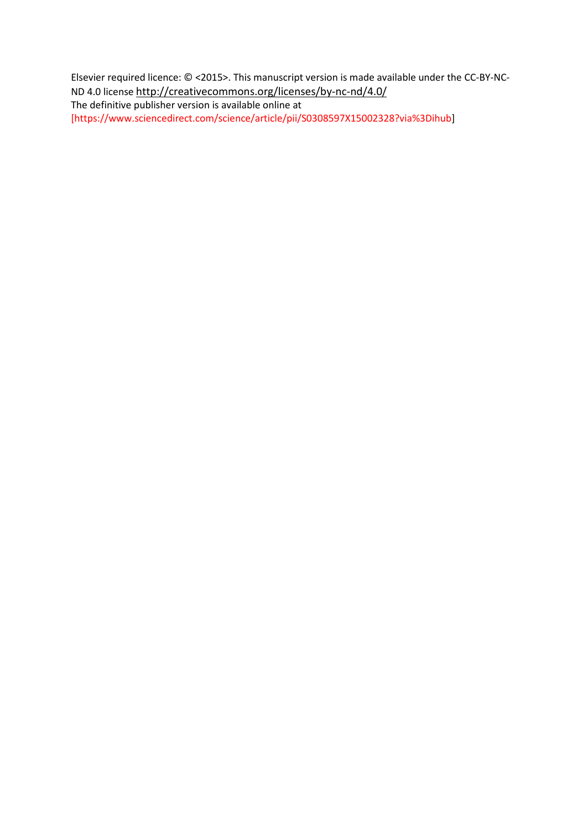Elsevier required licence: © <2015>. This manuscript version is made available under the CC-BY-NC-ND 4.0 license<http://creativecommons.org/licenses/by-nc-nd/4.0/>

The definitive publisher version is available online at [https://www.sciencedirect.com/science/article/pii/S0308597X15002328?via%3Dihub]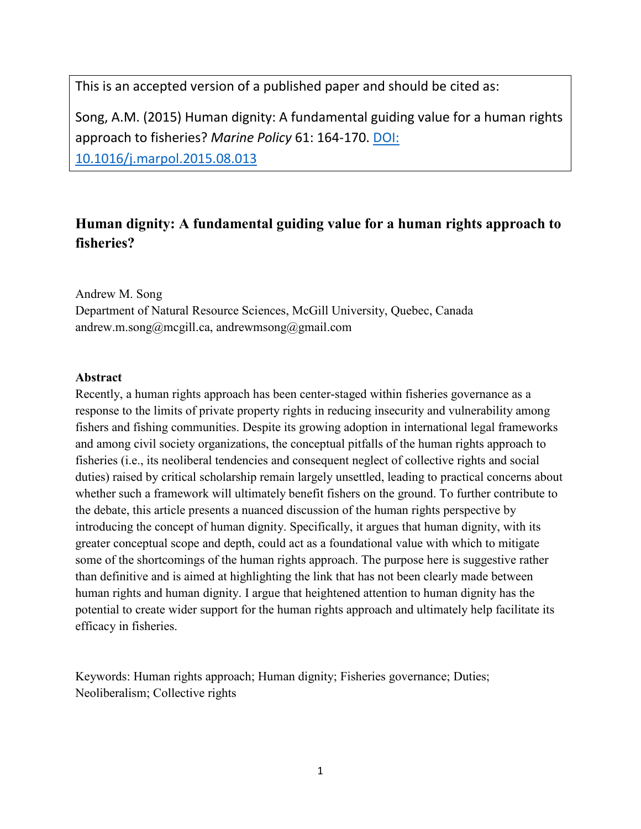This is an accepted version of a published paper and should be cited as:

Song, A.M. (2015) Human dignity: A fundamental guiding value for a human rights approach to fisheries? *Marine Policy* 61: 164-170. [DOI:](https://doi.org/10.1016/j.ocecoaman.2018.11.005)  [10.1016/j.marpol.2015.08.013](https://doi.org/10.1016/j.ocecoaman.2018.11.005)

# **Human dignity: A fundamental guiding value for a human rights approach to fisheries?**

Andrew M. Song Department of Natural Resource Sciences, McGill University, Quebec, Canada andrew.m.song@mcgill.ca, andrewmsong@gmail.com

### **Abstract**

Recently, a human rights approach has been center-staged within fisheries governance as a response to the limits of private property rights in reducing insecurity and vulnerability among fishers and fishing communities. Despite its growing adoption in international legal frameworks and among civil society organizations, the conceptual pitfalls of the human rights approach to fisheries (i.e., its neoliberal tendencies and consequent neglect of collective rights and social duties) raised by critical scholarship remain largely unsettled, leading to practical concerns about whether such a framework will ultimately benefit fishers on the ground. To further contribute to the debate, this article presents a nuanced discussion of the human rights perspective by introducing the concept of human dignity. Specifically, it argues that human dignity, with its greater conceptual scope and depth, could act as a foundational value with which to mitigate some of the shortcomings of the human rights approach. The purpose here is suggestive rather than definitive and is aimed at highlighting the link that has not been clearly made between human rights and human dignity. I argue that heightened attention to human dignity has the potential to create wider support for the human rights approach and ultimately help facilitate its efficacy in fisheries.

Keywords: Human rights approach; Human dignity; Fisheries governance; Duties; Neoliberalism; Collective rights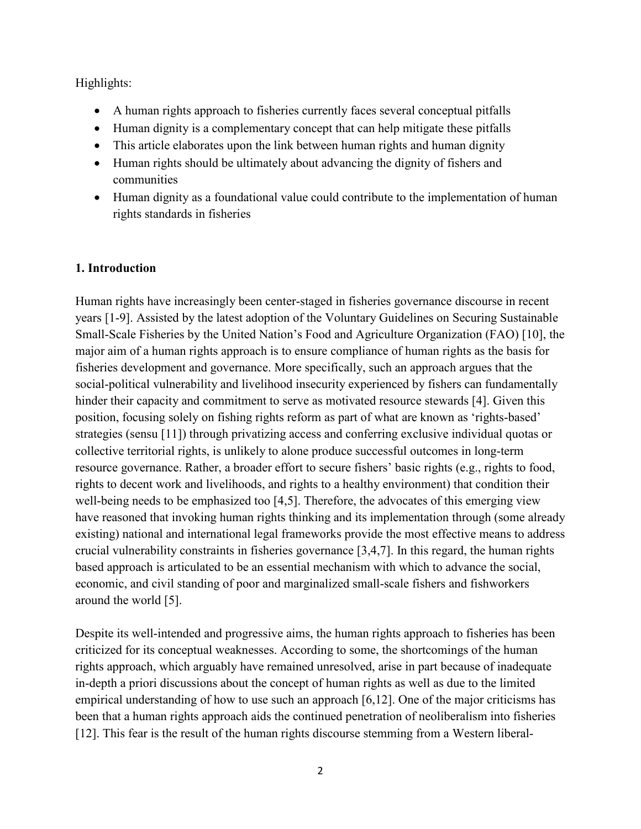Highlights:

- A human rights approach to fisheries currently faces several conceptual pitfalls
- Human dignity is a complementary concept that can help mitigate these pitfalls
- This article elaborates upon the link between human rights and human dignity
- Human rights should be ultimately about advancing the dignity of fishers and communities
- Human dignity as a foundational value could contribute to the implementation of human rights standards in fisheries

# **1. Introduction**

Human rights have increasingly been center-staged in fisheries governance discourse in recent years [1-9]. Assisted by the latest adoption of the Voluntary Guidelines on Securing Sustainable Small-Scale Fisheries by the United Nation's Food and Agriculture Organization (FAO) [10], the major aim of a human rights approach is to ensure compliance of human rights as the basis for fisheries development and governance. More specifically, such an approach argues that the social-political vulnerability and livelihood insecurity experienced by fishers can fundamentally hinder their capacity and commitment to serve as motivated resource stewards [4]. Given this position, focusing solely on fishing rights reform as part of what are known as 'rights-based' strategies (sensu [11]) through privatizing access and conferring exclusive individual quotas or collective territorial rights, is unlikely to alone produce successful outcomes in long-term resource governance. Rather, a broader effort to secure fishers' basic rights (e.g., rights to food, rights to decent work and livelihoods, and rights to a healthy environment) that condition their well-being needs to be emphasized too [4,5]. Therefore, the advocates of this emerging view have reasoned that invoking human rights thinking and its implementation through (some already existing) national and international legal frameworks provide the most effective means to address crucial vulnerability constraints in fisheries governance [3,4,7]. In this regard, the human rights based approach is articulated to be an essential mechanism with which to advance the social, economic, and civil standing of poor and marginalized small-scale fishers and fishworkers around the world [5].

Despite its well-intended and progressive aims, the human rights approach to fisheries has been criticized for its conceptual weaknesses. According to some, the shortcomings of the human rights approach, which arguably have remained unresolved, arise in part because of inadequate in-depth a priori discussions about the concept of human rights as well as due to the limited empirical understanding of how to use such an approach [6,12]. One of the major criticisms has been that a human rights approach aids the continued penetration of neoliberalism into fisheries [12]. This fear is the result of the human rights discourse stemming from a Western liberal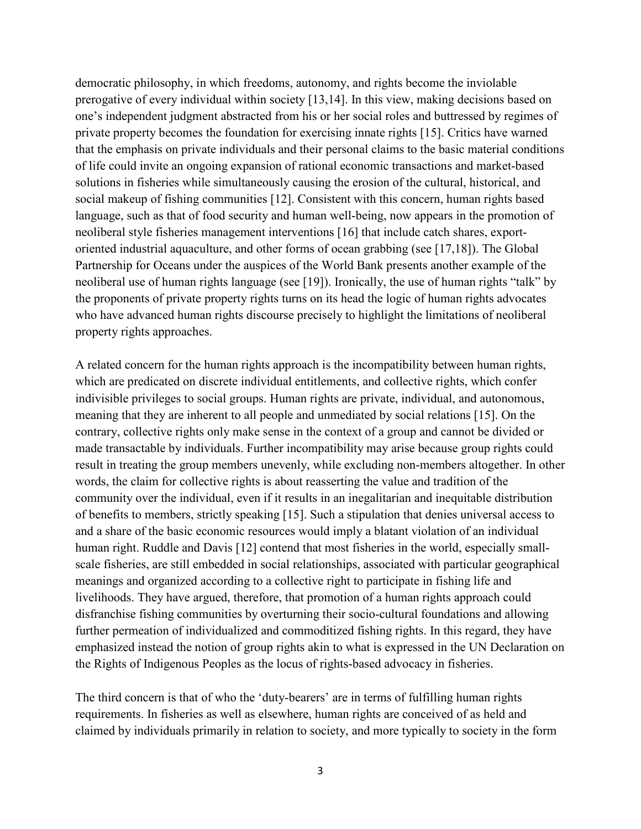democratic philosophy, in which freedoms, autonomy, and rights become the inviolable prerogative of every individual within society [13,14]. In this view, making decisions based on one's independent judgment abstracted from his or her social roles and buttressed by regimes of private property becomes the foundation for exercising innate rights [15]. Critics have warned that the emphasis on private individuals and their personal claims to the basic material conditions of life could invite an ongoing expansion of rational economic transactions and market-based solutions in fisheries while simultaneously causing the erosion of the cultural, historical, and social makeup of fishing communities [12]. Consistent with this concern, human rights based language, such as that of food security and human well-being, now appears in the promotion of neoliberal style fisheries management interventions [16] that include catch shares, exportoriented industrial aquaculture, and other forms of ocean grabbing (see [17,18]). The Global Partnership for Oceans under the auspices of the World Bank presents another example of the neoliberal use of human rights language (see [19]). Ironically, the use of human rights "talk" by the proponents of private property rights turns on its head the logic of human rights advocates who have advanced human rights discourse precisely to highlight the limitations of neoliberal property rights approaches.

A related concern for the human rights approach is the incompatibility between human rights, which are predicated on discrete individual entitlements, and collective rights, which confer indivisible privileges to social groups. Human rights are private, individual, and autonomous, meaning that they are inherent to all people and unmediated by social relations [15]. On the contrary, collective rights only make sense in the context of a group and cannot be divided or made transactable by individuals. Further incompatibility may arise because group rights could result in treating the group members unevenly, while excluding non-members altogether. In other words, the claim for collective rights is about reasserting the value and tradition of the community over the individual, even if it results in an inegalitarian and inequitable distribution of benefits to members, strictly speaking [15]. Such a stipulation that denies universal access to and a share of the basic economic resources would imply a blatant violation of an individual human right. Ruddle and Davis [12] contend that most fisheries in the world, especially smallscale fisheries, are still embedded in social relationships, associated with particular geographical meanings and organized according to a collective right to participate in fishing life and livelihoods. They have argued, therefore, that promotion of a human rights approach could disfranchise fishing communities by overturning their socio-cultural foundations and allowing further permeation of individualized and commoditized fishing rights. In this regard, they have emphasized instead the notion of group rights akin to what is expressed in the UN Declaration on the Rights of Indigenous Peoples as the locus of rights-based advocacy in fisheries.

The third concern is that of who the 'duty-bearers' are in terms of fulfilling human rights requirements. In fisheries as well as elsewhere, human rights are conceived of as held and claimed by individuals primarily in relation to society, and more typically to society in the form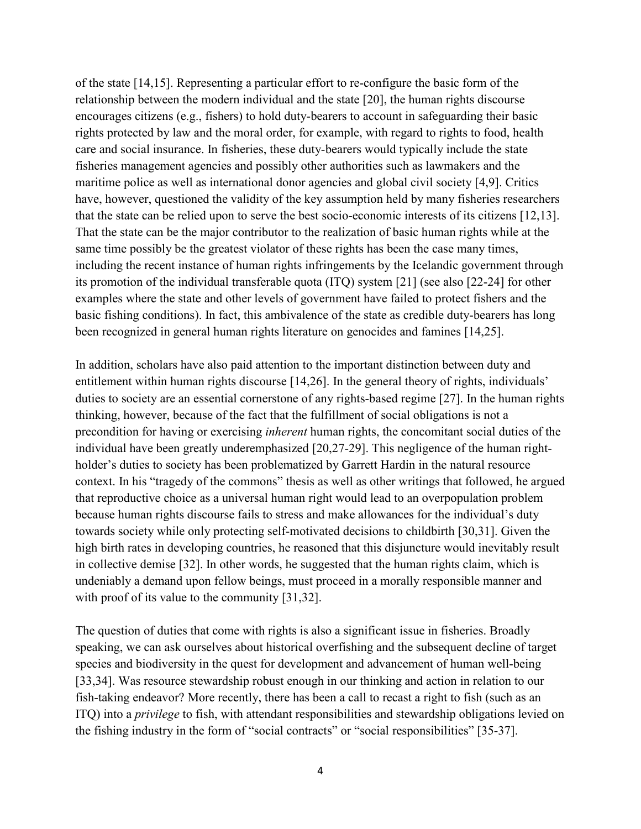of the state [14,15]. Representing a particular effort to re-configure the basic form of the relationship between the modern individual and the state [20], the human rights discourse encourages citizens (e.g., fishers) to hold duty-bearers to account in safeguarding their basic rights protected by law and the moral order, for example, with regard to rights to food, health care and social insurance. In fisheries, these duty-bearers would typically include the state fisheries management agencies and possibly other authorities such as lawmakers and the maritime police as well as international donor agencies and global civil society [4,9]. Critics have, however, questioned the validity of the key assumption held by many fisheries researchers that the state can be relied upon to serve the best socio-economic interests of its citizens [12,13]. That the state can be the major contributor to the realization of basic human rights while at the same time possibly be the greatest violator of these rights has been the case many times, including the recent instance of human rights infringements by the Icelandic government through its promotion of the individual transferable quota (ITQ) system [21] (see also [22-24] for other examples where the state and other levels of government have failed to protect fishers and the basic fishing conditions). In fact, this ambivalence of the state as credible duty-bearers has long been recognized in general human rights literature on genocides and famines [14,25].

In addition, scholars have also paid attention to the important distinction between duty and entitlement within human rights discourse [14,26]. In the general theory of rights, individuals' duties to society are an essential cornerstone of any rights-based regime [27]. In the human rights thinking, however, because of the fact that the fulfillment of social obligations is not a precondition for having or exercising *inherent* human rights, the concomitant social duties of the individual have been greatly underemphasized [20,27-29]. This negligence of the human rightholder's duties to society has been problematized by Garrett Hardin in the natural resource context. In his "tragedy of the commons" thesis as well as other writings that followed, he argued that reproductive choice as a universal human right would lead to an overpopulation problem because human rights discourse fails to stress and make allowances for the individual's duty towards society while only protecting self-motivated decisions to childbirth [30,31]. Given the high birth rates in developing countries, he reasoned that this disjuncture would inevitably result in collective demise [32]. In other words, he suggested that the human rights claim, which is undeniably a demand upon fellow beings, must proceed in a morally responsible manner and with proof of its value to the community [31,32].

The question of duties that come with rights is also a significant issue in fisheries. Broadly speaking, we can ask ourselves about historical overfishing and the subsequent decline of target species and biodiversity in the quest for development and advancement of human well-being [33,34]. Was resource stewardship robust enough in our thinking and action in relation to our fish-taking endeavor? More recently, there has been a call to recast a right to fish (such as an ITQ) into a *privilege* to fish, with attendant responsibilities and stewardship obligations levied on the fishing industry in the form of "social contracts" or "social responsibilities" [35-37].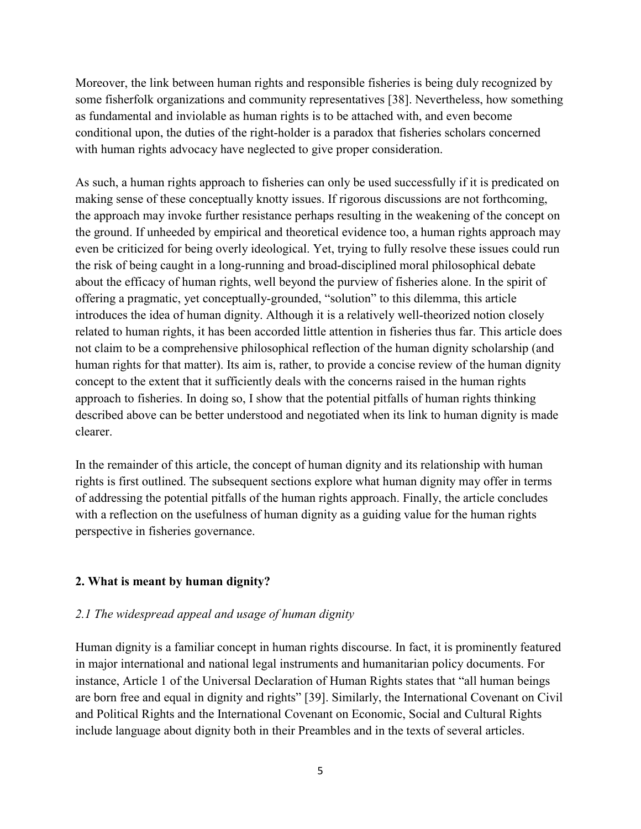Moreover, the link between human rights and responsible fisheries is being duly recognized by some fisherfolk organizations and community representatives [38]. Nevertheless, how something as fundamental and inviolable as human rights is to be attached with, and even become conditional upon, the duties of the right-holder is a paradox that fisheries scholars concerned with human rights advocacy have neglected to give proper consideration.

As such, a human rights approach to fisheries can only be used successfully if it is predicated on making sense of these conceptually knotty issues. If rigorous discussions are not forthcoming, the approach may invoke further resistance perhaps resulting in the weakening of the concept on the ground. If unheeded by empirical and theoretical evidence too, a human rights approach may even be criticized for being overly ideological. Yet, trying to fully resolve these issues could run the risk of being caught in a long-running and broad-disciplined moral philosophical debate about the efficacy of human rights, well beyond the purview of fisheries alone. In the spirit of offering a pragmatic, yet conceptually-grounded, "solution" to this dilemma, this article introduces the idea of human dignity. Although it is a relatively well-theorized notion closely related to human rights, it has been accorded little attention in fisheries thus far. This article does not claim to be a comprehensive philosophical reflection of the human dignity scholarship (and human rights for that matter). Its aim is, rather, to provide a concise review of the human dignity concept to the extent that it sufficiently deals with the concerns raised in the human rights approach to fisheries. In doing so, I show that the potential pitfalls of human rights thinking described above can be better understood and negotiated when its link to human dignity is made clearer.

In the remainder of this article, the concept of human dignity and its relationship with human rights is first outlined. The subsequent sections explore what human dignity may offer in terms of addressing the potential pitfalls of the human rights approach. Finally, the article concludes with a reflection on the usefulness of human dignity as a guiding value for the human rights perspective in fisheries governance.

## **2. What is meant by human dignity?**

### *2.1 The widespread appeal and usage of human dignity*

Human dignity is a familiar concept in human rights discourse. In fact, it is prominently featured in major international and national legal instruments and humanitarian policy documents. For instance, Article 1 of the Universal Declaration of Human Rights states that "all human beings are born free and equal in dignity and rights" [39]. Similarly, the International Covenant on Civil and Political Rights and the International Covenant on Economic, Social and Cultural Rights include language about dignity both in their Preambles and in the texts of several articles.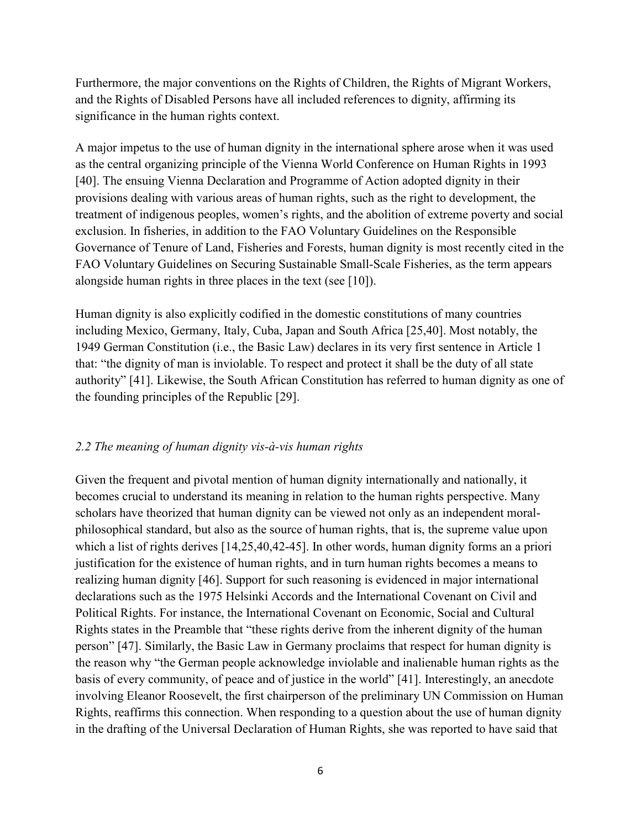Furthermore, the major conventions on the Rights of Children, the Rights of Migrant Workers, and the Rights of Disabled Persons have all included references to dignity, affirming its significance in the human rights context.

A major impetus to the use of human dignity in the international sphere arose when it was used as the central organizing principle of the Vienna World Conference on Human Rights in 1993 [40]. The ensuing Vienna Declaration and Programme of Action adopted dignity in their provisions dealing with various areas of human rights, such as the right to development, the treatment of indigenous peoples, women's rights, and the abolition of extreme poverty and social exclusion. In fisheries, in addition to the FAO Voluntary Guidelines on the Responsible Governance of Tenure of Land, Fisheries and Forests, human dignity is most recently cited in the FAO Voluntary Guidelines on Securing Sustainable Small-Scale Fisheries, as the term appears alongside human rights in three places in the text (see [10]).

Human dignity is also explicitly codified in the domestic constitutions of many countries including Mexico, Germany, Italy, Cuba, Japan and South Africa [25,40]. Most notably, the 1949 German Constitution (i.e., the Basic Law) declares in its very first sentence in Article 1 that: "the dignity of man is inviolable. To respect and protect it shall be the duty of all state authority" [41]. Likewise, the South African Constitution has referred to human dignity as one of the founding principles of the Republic [29].

## *2.2 The meaning of human dignity vis-à-vis human rights*

Given the frequent and pivotal mention of human dignity internationally and nationally, it becomes crucial to understand its meaning in relation to the human rights perspective. Many scholars have theorized that human dignity can be viewed not only as an independent moralphilosophical standard, but also as the source of human rights, that is, the supreme value upon which a list of rights derives [14,25,40,42-45]. In other words, human dignity forms an a priori justification for the existence of human rights, and in turn human rights becomes a means to realizing human dignity [46]. Support for such reasoning is evidenced in major international declarations such as the 1975 Helsinki Accords and the International Covenant on Civil and Political Rights. For instance, the International Covenant on Economic, Social and Cultural Rights states in the Preamble that "these rights derive from the inherent dignity of the human person" [47]. Similarly, the Basic Law in Germany proclaims that respect for human dignity is the reason why "the German people acknowledge inviolable and inalienable human rights as the basis of every community, of peace and of justice in the world" [41]. Interestingly, an anecdote involving Eleanor Roosevelt, the first chairperson of the preliminary UN Commission on Human Rights, reaffirms this connection. When responding to a question about the use of human dignity in the drafting of the Universal Declaration of Human Rights, she was reported to have said that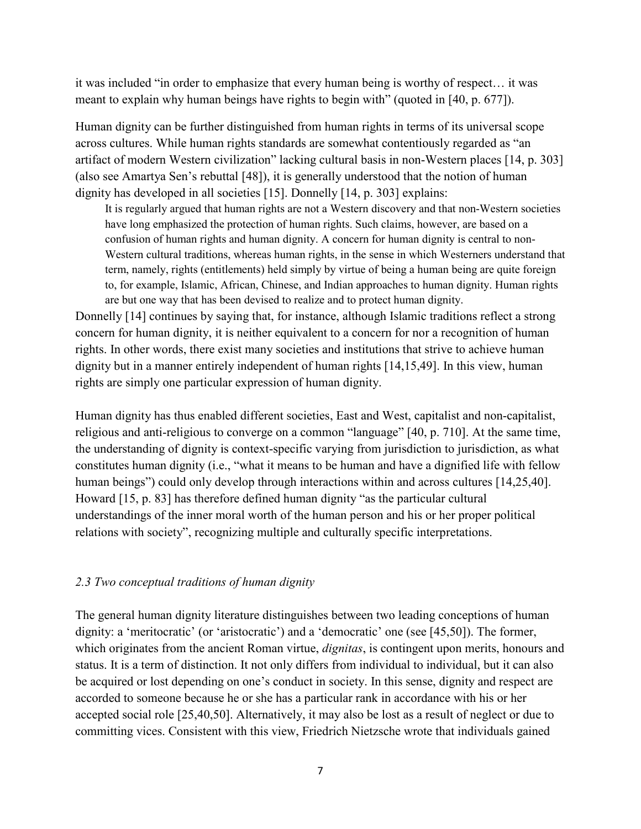it was included "in order to emphasize that every human being is worthy of respect… it was meant to explain why human beings have rights to begin with" (quoted in [40, p. 677]).

Human dignity can be further distinguished from human rights in terms of its universal scope across cultures. While human rights standards are somewhat contentiously regarded as "an artifact of modern Western civilization" lacking cultural basis in non-Western places [14, p. 303] (also see Amartya Sen's rebuttal [48]), it is generally understood that the notion of human dignity has developed in all societies [15]. Donnelly [14, p. 303] explains:

It is regularly argued that human rights are not a Western discovery and that non-Western societies have long emphasized the protection of human rights. Such claims, however, are based on a confusion of human rights and human dignity. A concern for human dignity is central to non-Western cultural traditions, whereas human rights, in the sense in which Westerners understand that term, namely, rights (entitlements) held simply by virtue of being a human being are quite foreign to, for example, Islamic, African, Chinese, and Indian approaches to human dignity. Human rights are but one way that has been devised to realize and to protect human dignity.

Donnelly [14] continues by saying that, for instance, although Islamic traditions reflect a strong concern for human dignity, it is neither equivalent to a concern for nor a recognition of human rights. In other words, there exist many societies and institutions that strive to achieve human dignity but in a manner entirely independent of human rights [14,15,49]. In this view, human rights are simply one particular expression of human dignity.

Human dignity has thus enabled different societies, East and West, capitalist and non-capitalist, religious and anti-religious to converge on a common "language" [40, p. 710]. At the same time, the understanding of dignity is context-specific varying from jurisdiction to jurisdiction, as what constitutes human dignity (i.e., "what it means to be human and have a dignified life with fellow human beings") could only develop through interactions within and across cultures [14,25,40]. Howard [15, p. 83] has therefore defined human dignity "as the particular cultural understandings of the inner moral worth of the human person and his or her proper political relations with society", recognizing multiple and culturally specific interpretations.

### *2.3 Two conceptual traditions of human dignity*

The general human dignity literature distinguishes between two leading conceptions of human dignity: a 'meritocratic' (or 'aristocratic') and a 'democratic' one (see [45,50]). The former, which originates from the ancient Roman virtue, *dignitas*, is contingent upon merits, honours and status. It is a term of distinction. It not only differs from individual to individual, but it can also be acquired or lost depending on one's conduct in society. In this sense, dignity and respect are accorded to someone because he or she has a particular rank in accordance with his or her accepted social role [25,40,50]. Alternatively, it may also be lost as a result of neglect or due to committing vices. Consistent with this view, Friedrich Nietzsche wrote that individuals gained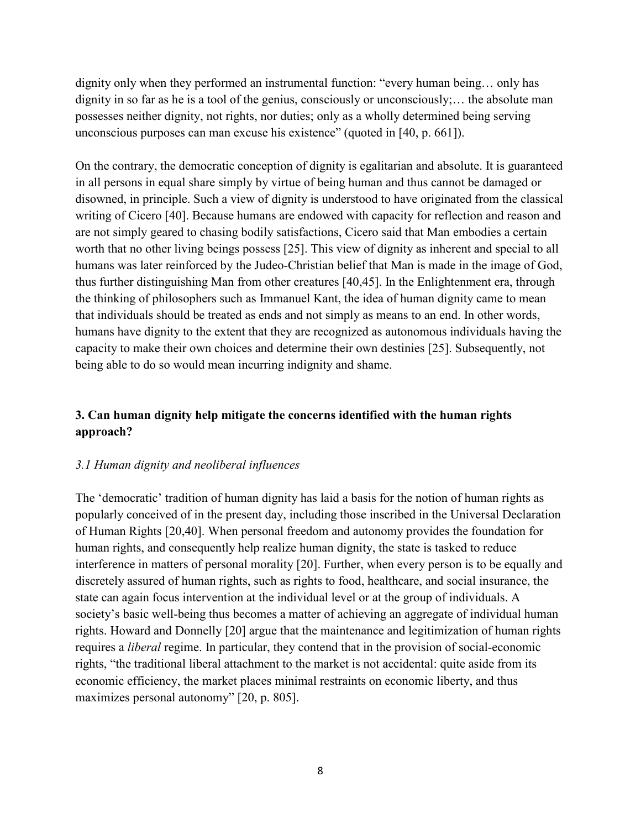dignity only when they performed an instrumental function: "every human being… only has dignity in so far as he is a tool of the genius, consciously or unconsciously;… the absolute man possesses neither dignity, not rights, nor duties; only as a wholly determined being serving unconscious purposes can man excuse his existence" (quoted in [40, p. 661]).

On the contrary, the democratic conception of dignity is egalitarian and absolute. It is guaranteed in all persons in equal share simply by virtue of being human and thus cannot be damaged or disowned, in principle. Such a view of dignity is understood to have originated from the classical writing of Cicero [40]. Because humans are endowed with capacity for reflection and reason and are not simply geared to chasing bodily satisfactions, Cicero said that Man embodies a certain worth that no other living beings possess [25]. This view of dignity as inherent and special to all humans was later reinforced by the Judeo-Christian belief that Man is made in the image of God, thus further distinguishing Man from other creatures [40,45]. In the Enlightenment era, through the thinking of philosophers such as Immanuel Kant, the idea of human dignity came to mean that individuals should be treated as ends and not simply as means to an end. In other words, humans have dignity to the extent that they are recognized as autonomous individuals having the capacity to make their own choices and determine their own destinies [25]. Subsequently, not being able to do so would mean incurring indignity and shame.

# **3. Can human dignity help mitigate the concerns identified with the human rights approach?**

### *3.1 Human dignity and neoliberal influences*

The 'democratic' tradition of human dignity has laid a basis for the notion of human rights as popularly conceived of in the present day, including those inscribed in the Universal Declaration of Human Rights [20,40]. When personal freedom and autonomy provides the foundation for human rights, and consequently help realize human dignity, the state is tasked to reduce interference in matters of personal morality [20]. Further, when every person is to be equally and discretely assured of human rights, such as rights to food, healthcare, and social insurance, the state can again focus intervention at the individual level or at the group of individuals. A society's basic well-being thus becomes a matter of achieving an aggregate of individual human rights. Howard and Donnelly [20] argue that the maintenance and legitimization of human rights requires a *liberal* regime. In particular, they contend that in the provision of social-economic rights, "the traditional liberal attachment to the market is not accidental: quite aside from its economic efficiency, the market places minimal restraints on economic liberty, and thus maximizes personal autonomy" [20, p. 805].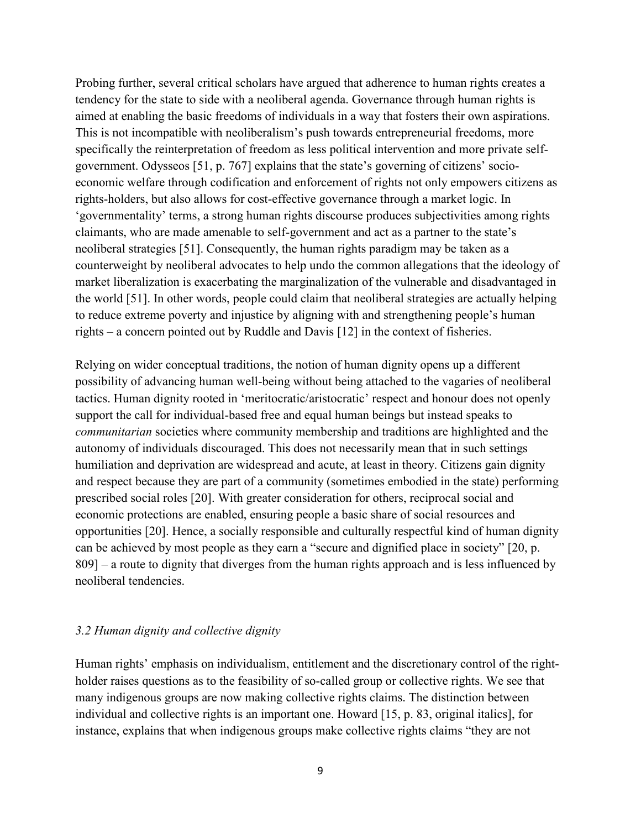Probing further, several critical scholars have argued that adherence to human rights creates a tendency for the state to side with a neoliberal agenda. Governance through human rights is aimed at enabling the basic freedoms of individuals in a way that fosters their own aspirations. This is not incompatible with neoliberalism's push towards entrepreneurial freedoms, more specifically the reinterpretation of freedom as less political intervention and more private selfgovernment. Odysseos [51, p. 767] explains that the state's governing of citizens' socioeconomic welfare through codification and enforcement of rights not only empowers citizens as rights-holders, but also allows for cost-effective governance through a market logic. In 'governmentality' terms, a strong human rights discourse produces subjectivities among rights claimants, who are made amenable to self-government and act as a partner to the state's neoliberal strategies [51]. Consequently, the human rights paradigm may be taken as a counterweight by neoliberal advocates to help undo the common allegations that the ideology of market liberalization is exacerbating the marginalization of the vulnerable and disadvantaged in the world [51]. In other words, people could claim that neoliberal strategies are actually helping to reduce extreme poverty and injustice by aligning with and strengthening people's human rights – a concern pointed out by Ruddle and Davis [12] in the context of fisheries.

Relying on wider conceptual traditions, the notion of human dignity opens up a different possibility of advancing human well-being without being attached to the vagaries of neoliberal tactics. Human dignity rooted in 'meritocratic/aristocratic' respect and honour does not openly support the call for individual-based free and equal human beings but instead speaks to *communitarian* societies where community membership and traditions are highlighted and the autonomy of individuals discouraged. This does not necessarily mean that in such settings humiliation and deprivation are widespread and acute, at least in theory. Citizens gain dignity and respect because they are part of a community (sometimes embodied in the state) performing prescribed social roles [20]. With greater consideration for others, reciprocal social and economic protections are enabled, ensuring people a basic share of social resources and opportunities [20]. Hence, a socially responsible and culturally respectful kind of human dignity can be achieved by most people as they earn a "secure and dignified place in society" [20, p. 809] – a route to dignity that diverges from the human rights approach and is less influenced by neoliberal tendencies.

#### *3.2 Human dignity and collective dignity*

Human rights' emphasis on individualism, entitlement and the discretionary control of the rightholder raises questions as to the feasibility of so-called group or collective rights. We see that many indigenous groups are now making collective rights claims. The distinction between individual and collective rights is an important one. Howard [15, p. 83, original italics], for instance, explains that when indigenous groups make collective rights claims "they are not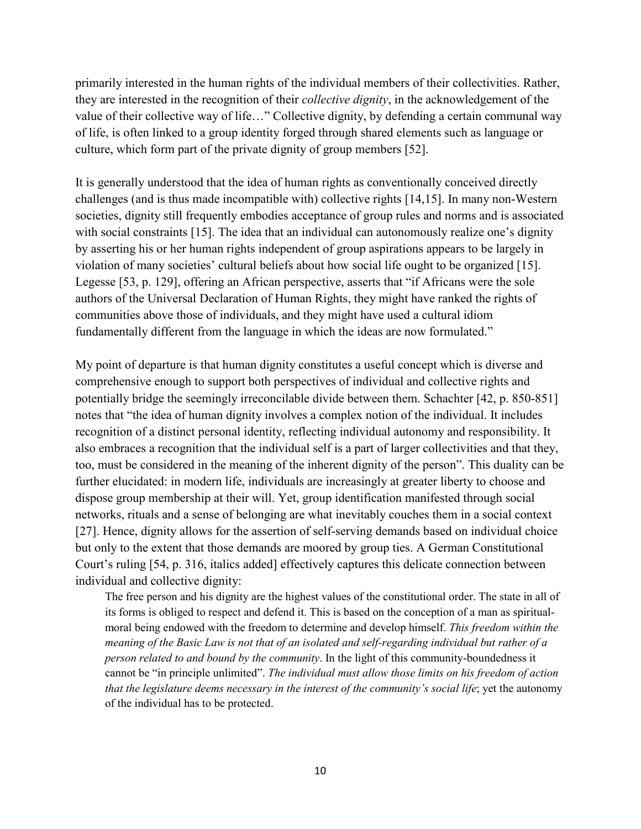primarily interested in the human rights of the individual members of their collectivities. Rather, they are interested in the recognition of their *collective dignity*, in the acknowledgement of the value of their collective way of life…" Collective dignity, by defending a certain communal way of life, is often linked to a group identity forged through shared elements such as language or culture, which form part of the private dignity of group members [52].

It is generally understood that the idea of human rights as conventionally conceived directly challenges (and is thus made incompatible with) collective rights [14,15]. In many non-Western societies, dignity still frequently embodies acceptance of group rules and norms and is associated with social constraints [15]. The idea that an individual can autonomously realize one's dignity by asserting his or her human rights independent of group aspirations appears to be largely in violation of many societies' cultural beliefs about how social life ought to be organized [15]. Legesse [53, p. 129], offering an African perspective, asserts that "if Africans were the sole authors of the Universal Declaration of Human Rights, they might have ranked the rights of communities above those of individuals, and they might have used a cultural idiom fundamentally different from the language in which the ideas are now formulated."

My point of departure is that human dignity constitutes a useful concept which is diverse and comprehensive enough to support both perspectives of individual and collective rights and potentially bridge the seemingly irreconcilable divide between them. Schachter [42, p. 850-851] notes that "the idea of human dignity involves a complex notion of the individual. It includes recognition of a distinct personal identity, reflecting individual autonomy and responsibility. It also embraces a recognition that the individual self is a part of larger collectivities and that they, too, must be considered in the meaning of the inherent dignity of the person". This duality can be further elucidated: in modern life, individuals are increasingly at greater liberty to choose and dispose group membership at their will. Yet, group identification manifested through social networks, rituals and a sense of belonging are what inevitably couches them in a social context [27]. Hence, dignity allows for the assertion of self-serving demands based on individual choice but only to the extent that those demands are moored by group ties. A German Constitutional Court's ruling [54, p. 316, italics added] effectively captures this delicate connection between individual and collective dignity:

The free person and his dignity are the highest values of the constitutional order. The state in all of its forms is obliged to respect and defend it. This is based on the conception of a man as spiritualmoral being endowed with the freedom to determine and develop himself. *This freedom within the meaning of the Basic Law is not that of an isolated and self-regarding individual but rather of a person related to and bound by the community*. In the light of this community-boundedness it cannot be "in principle unlimited". *The individual must allow those limits on his freedom of action that the legislature deems necessary in the interest of the community's social life*; yet the autonomy of the individual has to be protected.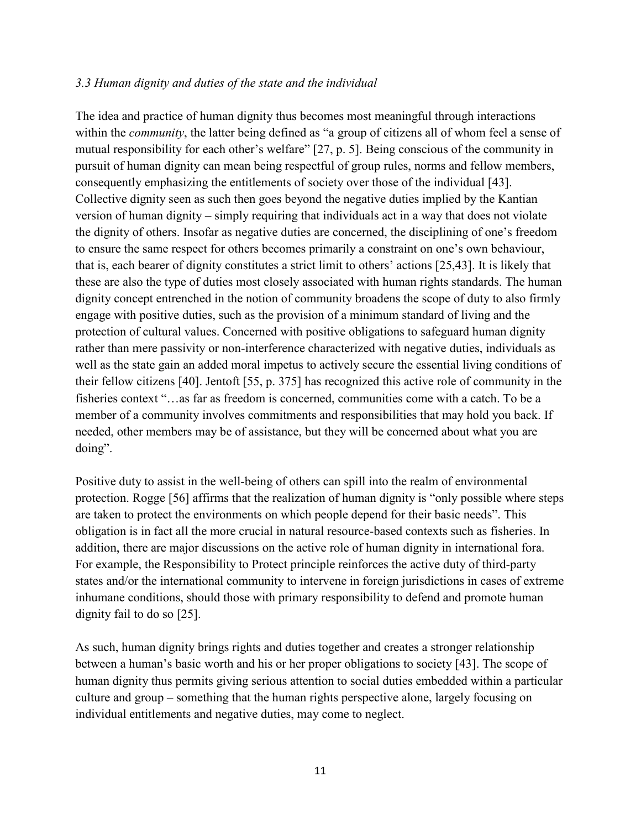### *3.3 Human dignity and duties of the state and the individual*

The idea and practice of human dignity thus becomes most meaningful through interactions within the *community*, the latter being defined as "a group of citizens all of whom feel a sense of mutual responsibility for each other's welfare" [27, p. 5]. Being conscious of the community in pursuit of human dignity can mean being respectful of group rules, norms and fellow members, consequently emphasizing the entitlements of society over those of the individual [43]. Collective dignity seen as such then goes beyond the negative duties implied by the Kantian version of human dignity – simply requiring that individuals act in a way that does not violate the dignity of others. Insofar as negative duties are concerned, the disciplining of one's freedom to ensure the same respect for others becomes primarily a constraint on one's own behaviour, that is, each bearer of dignity constitutes a strict limit to others' actions [25,43]. It is likely that these are also the type of duties most closely associated with human rights standards. The human dignity concept entrenched in the notion of community broadens the scope of duty to also firmly engage with positive duties, such as the provision of a minimum standard of living and the protection of cultural values. Concerned with positive obligations to safeguard human dignity rather than mere passivity or non-interference characterized with negative duties, individuals as well as the state gain an added moral impetus to actively secure the essential living conditions of their fellow citizens [40]. Jentoft [55, p. 375] has recognized this active role of community in the fisheries context "…as far as freedom is concerned, communities come with a catch. To be a member of a community involves commitments and responsibilities that may hold you back. If needed, other members may be of assistance, but they will be concerned about what you are doing".

Positive duty to assist in the well-being of others can spill into the realm of environmental protection. Rogge [56] affirms that the realization of human dignity is "only possible where steps are taken to protect the environments on which people depend for their basic needs". This obligation is in fact all the more crucial in natural resource-based contexts such as fisheries. In addition, there are major discussions on the active role of human dignity in international fora. For example, the Responsibility to Protect principle reinforces the active duty of third-party states and/or the international community to intervene in foreign jurisdictions in cases of extreme inhumane conditions, should those with primary responsibility to defend and promote human dignity fail to do so [25].

As such, human dignity brings rights and duties together and creates a stronger relationship between a human's basic worth and his or her proper obligations to society [43]. The scope of human dignity thus permits giving serious attention to social duties embedded within a particular culture and group – something that the human rights perspective alone, largely focusing on individual entitlements and negative duties, may come to neglect.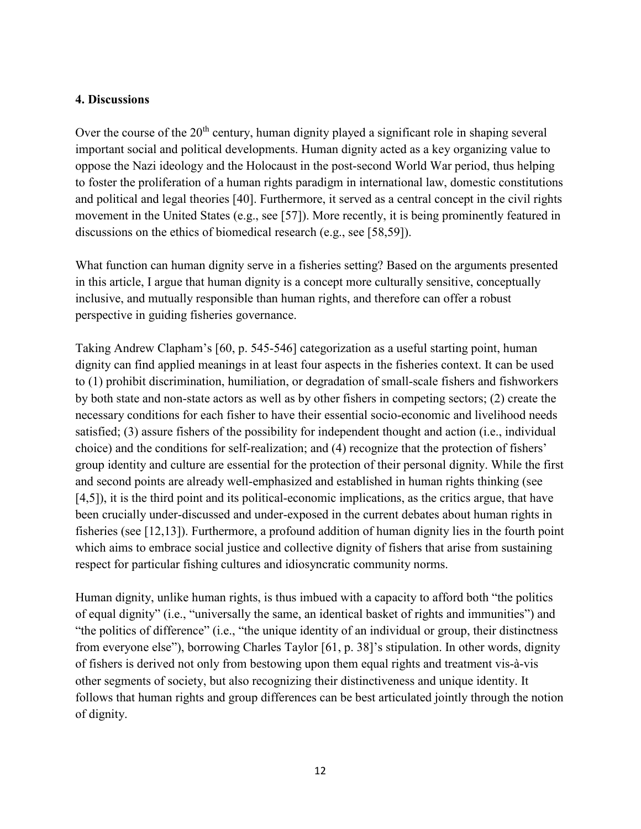### **4. Discussions**

Over the course of the  $20<sup>th</sup>$  century, human dignity played a significant role in shaping several important social and political developments. Human dignity acted as a key organizing value to oppose the Nazi ideology and the Holocaust in the post-second World War period, thus helping to foster the proliferation of a human rights paradigm in international law, domestic constitutions and political and legal theories [40]. Furthermore, it served as a central concept in the civil rights movement in the United States (e.g., see [57]). More recently, it is being prominently featured in discussions on the ethics of biomedical research (e.g., see [58,59]).

What function can human dignity serve in a fisheries setting? Based on the arguments presented in this article, I argue that human dignity is a concept more culturally sensitive, conceptually inclusive, and mutually responsible than human rights, and therefore can offer a robust perspective in guiding fisheries governance.

Taking Andrew Clapham's [60, p. 545-546] categorization as a useful starting point, human dignity can find applied meanings in at least four aspects in the fisheries context. It can be used to (1) prohibit discrimination, humiliation, or degradation of small-scale fishers and fishworkers by both state and non-state actors as well as by other fishers in competing sectors; (2) create the necessary conditions for each fisher to have their essential socio-economic and livelihood needs satisfied; (3) assure fishers of the possibility for independent thought and action (i.e., individual choice) and the conditions for self-realization; and (4) recognize that the protection of fishers' group identity and culture are essential for the protection of their personal dignity. While the first and second points are already well-emphasized and established in human rights thinking (see [4,5]), it is the third point and its political-economic implications, as the critics argue, that have been crucially under-discussed and under-exposed in the current debates about human rights in fisheries (see [12,13]). Furthermore, a profound addition of human dignity lies in the fourth point which aims to embrace social justice and collective dignity of fishers that arise from sustaining respect for particular fishing cultures and idiosyncratic community norms.

Human dignity, unlike human rights, is thus imbued with a capacity to afford both "the politics of equal dignity" (i.e., "universally the same, an identical basket of rights and immunities") and "the politics of difference" (i.e., "the unique identity of an individual or group, their distinctness from everyone else"), borrowing Charles Taylor [61, p. 38]'s stipulation. In other words, dignity of fishers is derived not only from bestowing upon them equal rights and treatment vis-à-vis other segments of society, but also recognizing their distinctiveness and unique identity. It follows that human rights and group differences can be best articulated jointly through the notion of dignity.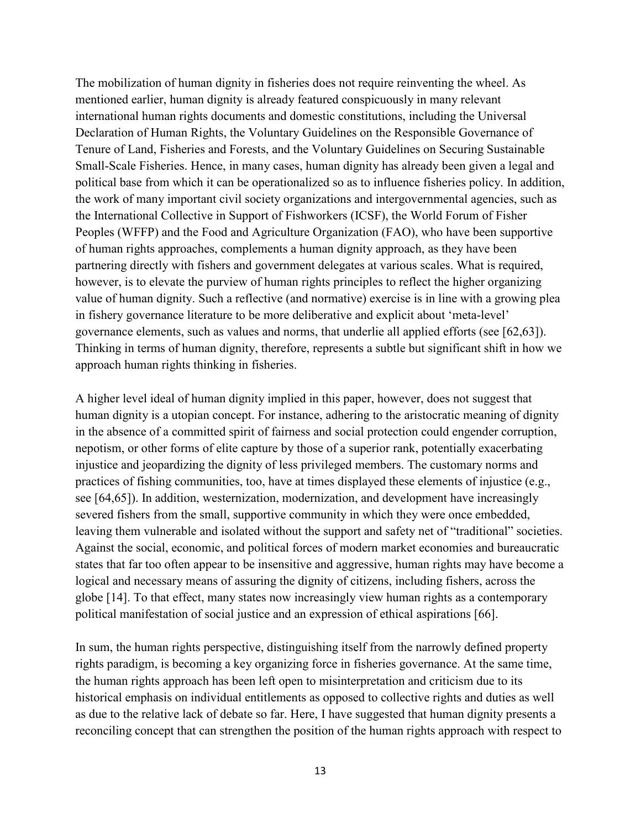The mobilization of human dignity in fisheries does not require reinventing the wheel. As mentioned earlier, human dignity is already featured conspicuously in many relevant international human rights documents and domestic constitutions, including the Universal Declaration of Human Rights, the Voluntary Guidelines on the Responsible Governance of Tenure of Land, Fisheries and Forests, and the Voluntary Guidelines on Securing Sustainable Small-Scale Fisheries. Hence, in many cases, human dignity has already been given a legal and political base from which it can be operationalized so as to influence fisheries policy. In addition, the work of many important civil society organizations and intergovernmental agencies, such as the International Collective in Support of Fishworkers (ICSF), the World Forum of Fisher Peoples (WFFP) and the Food and Agriculture Organization (FAO), who have been supportive of human rights approaches, complements a human dignity approach, as they have been partnering directly with fishers and government delegates at various scales. What is required, however, is to elevate the purview of human rights principles to reflect the higher organizing value of human dignity. Such a reflective (and normative) exercise is in line with a growing plea in fishery governance literature to be more deliberative and explicit about 'meta-level' governance elements, such as values and norms, that underlie all applied efforts (see [62,63]). Thinking in terms of human dignity, therefore, represents a subtle but significant shift in how we approach human rights thinking in fisheries.

A higher level ideal of human dignity implied in this paper, however, does not suggest that human dignity is a utopian concept. For instance, adhering to the aristocratic meaning of dignity in the absence of a committed spirit of fairness and social protection could engender corruption, nepotism, or other forms of elite capture by those of a superior rank, potentially exacerbating injustice and jeopardizing the dignity of less privileged members. The customary norms and practices of fishing communities, too, have at times displayed these elements of injustice (e.g., see [64,65]). In addition, westernization, modernization, and development have increasingly severed fishers from the small, supportive community in which they were once embedded, leaving them vulnerable and isolated without the support and safety net of "traditional" societies. Against the social, economic, and political forces of modern market economies and bureaucratic states that far too often appear to be insensitive and aggressive, human rights may have become a logical and necessary means of assuring the dignity of citizens, including fishers, across the globe [14]. To that effect, many states now increasingly view human rights as a contemporary political manifestation of social justice and an expression of ethical aspirations [66].

In sum, the human rights perspective, distinguishing itself from the narrowly defined property rights paradigm, is becoming a key organizing force in fisheries governance. At the same time, the human rights approach has been left open to misinterpretation and criticism due to its historical emphasis on individual entitlements as opposed to collective rights and duties as well as due to the relative lack of debate so far. Here, I have suggested that human dignity presents a reconciling concept that can strengthen the position of the human rights approach with respect to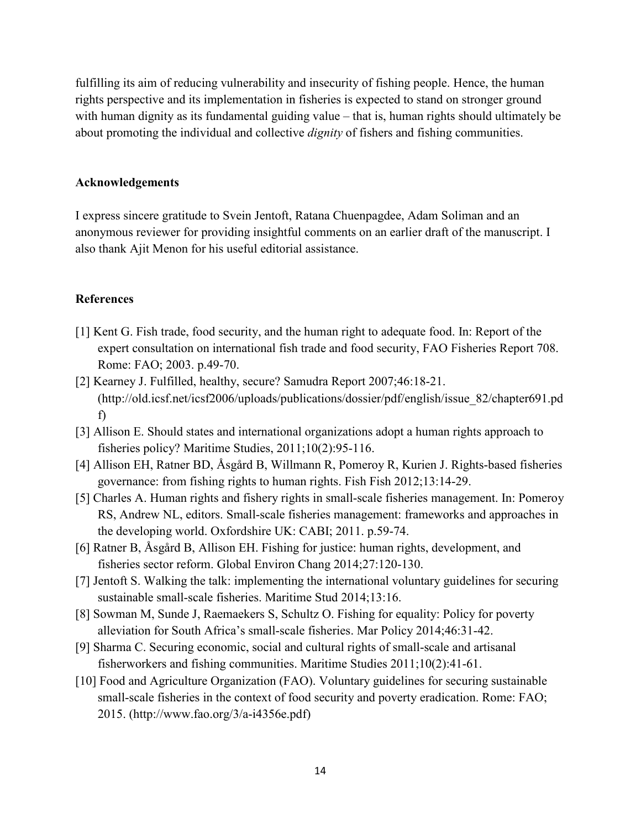fulfilling its aim of reducing vulnerability and insecurity of fishing people. Hence, the human rights perspective and its implementation in fisheries is expected to stand on stronger ground with human dignity as its fundamental guiding value – that is, human rights should ultimately be about promoting the individual and collective *dignity* of fishers and fishing communities.

#### **Acknowledgements**

I express sincere gratitude to Svein Jentoft, Ratana Chuenpagdee, Adam Soliman and an anonymous reviewer for providing insightful comments on an earlier draft of the manuscript. I also thank Ajit Menon for his useful editorial assistance.

#### **References**

- [1] Kent G. Fish trade, food security, and the human right to adequate food. In: Report of the expert consultation on international fish trade and food security, FAO Fisheries Report 708. Rome: FAO; 2003. p.49-70.
- [2] Kearney J. Fulfilled, healthy, secure? Samudra Report 2007;46:18-21. (http://old.icsf.net/icsf2006/uploads/publications/dossier/pdf/english/issue\_82/chapter691.pd f)
- [3] Allison E. Should states and international organizations adopt a human rights approach to fisheries policy? Maritime Studies, 2011;10(2):95-116.
- [4] Allison EH, Ratner BD, Åsgård B, Willmann R, Pomeroy R, Kurien J. Rights-based fisheries governance: from fishing rights to human rights. Fish Fish 2012;13:14-29.
- [5] Charles A. Human rights and fishery rights in small-scale fisheries management. In: Pomeroy RS, Andrew NL, editors. Small-scale fisheries management: frameworks and approaches in the developing world. Oxfordshire UK: CABI; 2011. p.59-74.
- [6] Ratner B, Åsgård B, Allison EH. Fishing for justice: human rights, development, and fisheries sector reform. Global Environ Chang 2014;27:120-130.
- [7] Jentoft S. Walking the talk: implementing the international voluntary guidelines for securing sustainable small-scale fisheries. Maritime Stud 2014;13:16.
- [8] Sowman M, Sunde J, Raemaekers S, Schultz O. Fishing for equality: Policy for poverty alleviation for South Africa's small-scale fisheries. Mar Policy 2014;46:31-42.
- [9] Sharma C. Securing economic, social and cultural rights of small-scale and artisanal fisherworkers and fishing communities. Maritime Studies 2011;10(2):41-61.
- [10] Food and Agriculture Organization (FAO). Voluntary guidelines for securing sustainable small-scale fisheries in the context of food security and poverty eradication. Rome: FAO; 2015. (http://www.fao.org/3/a-i4356e.pdf)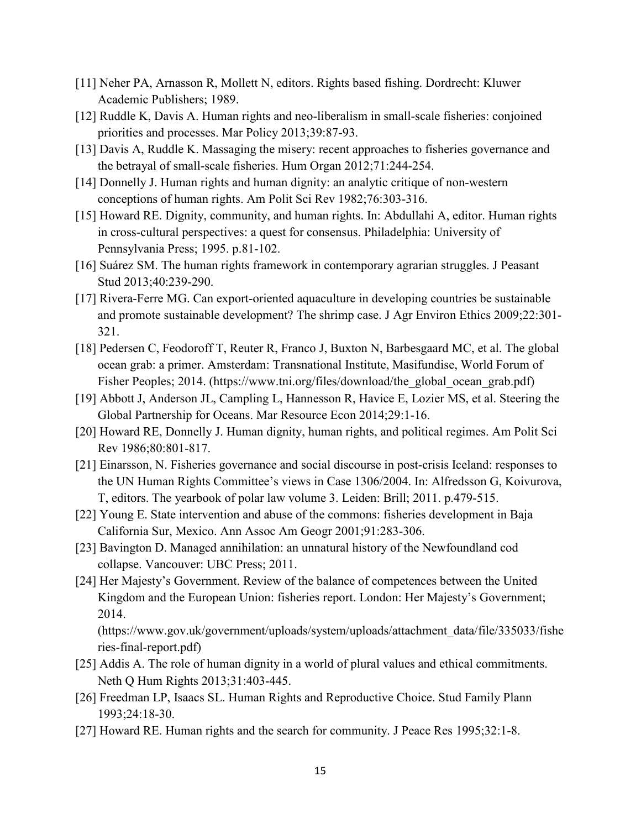- [11] Neher PA, Arnasson R, Mollett N, editors. Rights based fishing. Dordrecht: Kluwer Academic Publishers; 1989.
- [12] Ruddle K, Davis A. Human rights and neo-liberalism in small-scale fisheries: conjoined priorities and processes. Mar Policy 2013;39:87-93.
- [13] Davis A, Ruddle K. Massaging the misery: recent approaches to fisheries governance and the betrayal of small-scale fisheries. Hum Organ 2012;71:244-254.
- [14] Donnelly J. Human rights and human dignity: an analytic critique of non-western conceptions of human rights. Am Polit Sci Rev 1982;76:303-316.
- [15] Howard RE. Dignity, community, and human rights. In: Abdullahi A, editor. Human rights in cross-cultural perspectives: a quest for consensus. Philadelphia: University of Pennsylvania Press; 1995. p.81-102.
- [16] Suárez SM. The human rights framework in contemporary agrarian struggles. J Peasant Stud 2013;40:239-290.
- [17] Rivera-Ferre MG. Can export-oriented aquaculture in developing countries be sustainable and promote sustainable development? The shrimp case. J Agr Environ Ethics 2009;22:301- 321.
- [18] Pedersen C, Feodoroff T, Reuter R, Franco J, Buxton N, Barbesgaard MC, et al. The global ocean grab: a primer. Amsterdam: Transnational Institute, Masifundise, World Forum of Fisher Peoples; 2014. (https://www.tni.org/files/download/the\_global\_ocean\_grab.pdf)
- [19] Abbott J, Anderson JL, Campling L, Hannesson R, Havice E, Lozier MS, et al. Steering the Global Partnership for Oceans. Mar Resource Econ 2014;29:1-16.
- [20] Howard RE, Donnelly J. Human dignity, human rights, and political regimes. Am Polit Sci Rev 1986;80:801-817.
- [21] Einarsson, N. Fisheries governance and social discourse in post-crisis Iceland: responses to the UN Human Rights Committee's views in Case 1306/2004. In: Alfredsson G, Koivurova, T, editors. The yearbook of polar law volume 3. Leiden: Brill; 2011. p.479-515.
- [22] Young E. State intervention and abuse of the commons: fisheries development in Baja California Sur, Mexico. Ann Assoc Am Geogr 2001;91:283-306.
- [23] Bavington D. Managed annihilation: an unnatural history of the Newfoundland cod collapse. Vancouver: UBC Press; 2011.
- [24] Her Majesty's Government. Review of the balance of competences between the United Kingdom and the European Union: fisheries report. London: Her Majesty's Government; 2014.

(https://www.gov.uk/government/uploads/system/uploads/attachment\_data/file/335033/fishe ries-final-report.pdf)

- [25] Addis A. The role of human dignity in a world of plural values and ethical commitments. Neth Q Hum Rights 2013;31:403-445.
- [26] Freedman LP, Isaacs SL. Human Rights and Reproductive Choice. Stud Family Plann 1993;24:18-30.
- [27] Howard RE. Human rights and the search for community. J Peace Res 1995;32:1-8.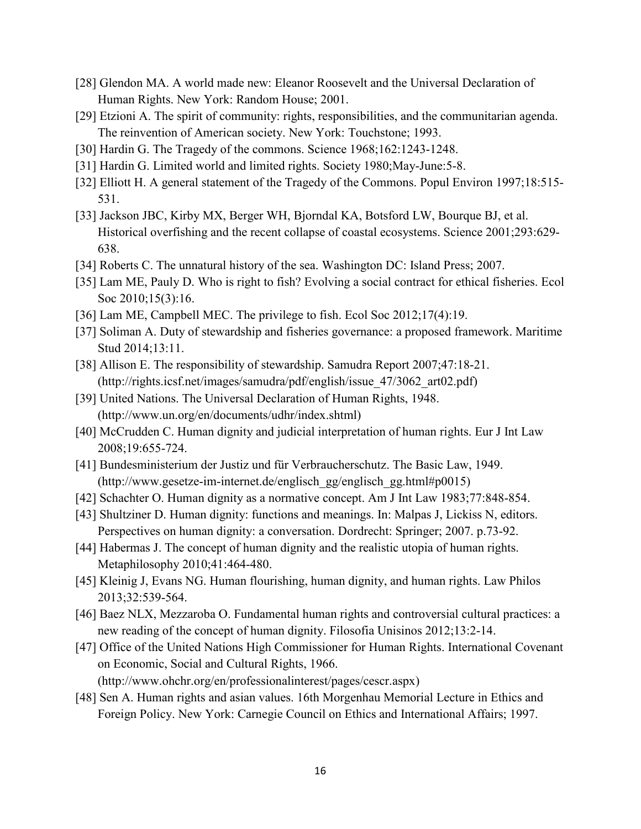- [28] Glendon MA. A world made new: Eleanor Roosevelt and the Universal Declaration of Human Rights. New York: Random House; 2001.
- [29] Etzioni A. The spirit of community: rights, responsibilities, and the communitarian agenda. The reinvention of American society. New York: Touchstone; 1993.
- [30] Hardin G. The Tragedy of the commons. Science 1968;162:1243-1248.
- [31] Hardin G. Limited world and limited rights. Society 1980; May-June: 5-8.
- [32] Elliott H. A general statement of the Tragedy of the Commons. Popul Environ 1997;18:515- 531.
- [33] Jackson JBC, Kirby MX, Berger WH, Bjorndal KA, Botsford LW, Bourque BJ, et al. Historical overfishing and the recent collapse of coastal ecosystems. Science 2001;293:629- 638.
- [34] Roberts C. The unnatural history of the sea. Washington DC: Island Press; 2007.
- [35] Lam ME, Pauly D. Who is right to fish? Evolving a social contract for ethical fisheries. Ecol Soc 2010;15(3):16.
- [36] Lam ME, Campbell MEC. The privilege to fish. Ecol Soc 2012;17(4):19.
- [37] Soliman A. Duty of stewardship and fisheries governance: a proposed framework. Maritime Stud 2014;13:11.
- [38] Allison E. The responsibility of stewardship. Samudra Report 2007;47:18-21. (http://rights.icsf.net/images/samudra/pdf/english/issue\_47/3062\_art02.pdf)
- [39] United Nations. The Universal Declaration of Human Rights, 1948. (http://www.un.org/en/documents/udhr/index.shtml)
- [40] McCrudden C. Human dignity and judicial interpretation of human rights. Eur J Int Law 2008;19:655-724.
- [41] Bundesministerium der Justiz und für Verbraucherschutz. The Basic Law, 1949. (http://www.gesetze-im-internet.de/englisch\_gg/englisch\_gg.html#p0015)
- [42] Schachter O. Human dignity as a normative concept. Am J Int Law 1983;77:848-854.
- [43] Shultziner D. Human dignity: functions and meanings. In: Malpas J, Lickiss N, editors. Perspectives on human dignity: a conversation. Dordrecht: Springer; 2007. p.73-92.
- [44] Habermas J. The concept of human dignity and the realistic utopia of human rights. Metaphilosophy 2010;41:464-480.
- [45] Kleinig J, Evans NG. Human flourishing, human dignity, and human rights. Law Philos 2013;32:539-564.
- [46] Baez NLX, Mezzaroba O. Fundamental human rights and controversial cultural practices: a new reading of the concept of human dignity. Filosofia Unisinos 2012;13:2-14.
- [47] Office of the United Nations High Commissioner for Human Rights. International Covenant on Economic, Social and Cultural Rights, 1966. (http://www.ohchr.org/en/professionalinterest/pages/cescr.aspx)
- [48] Sen A. Human rights and asian values. 16th Morgenhau Memorial Lecture in Ethics and Foreign Policy. New York: Carnegie Council on Ethics and International Affairs; 1997.